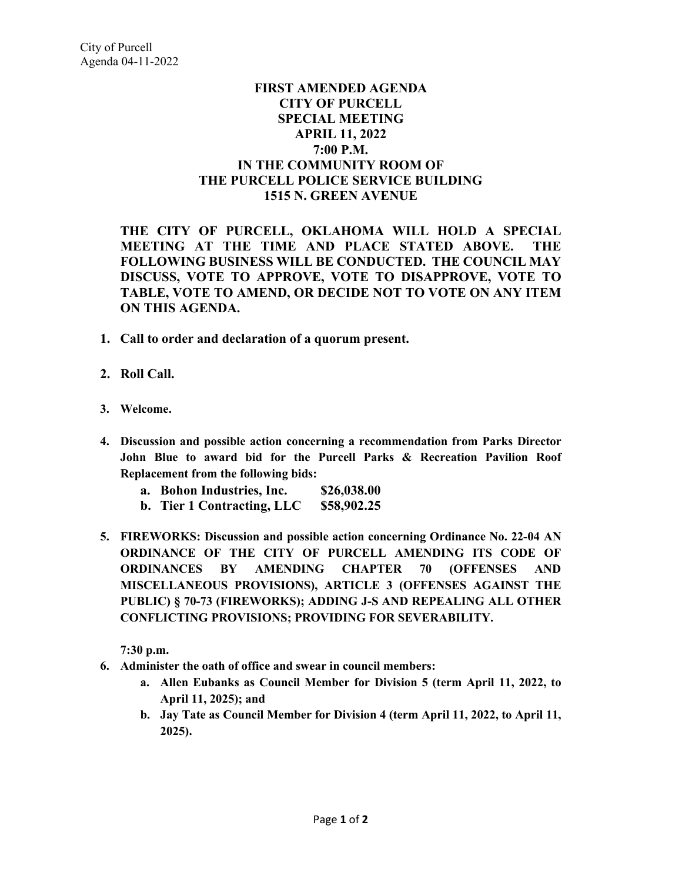## **FIRST AMENDED AGENDA CITY OF PURCELL SPECIAL MEETING APRIL 11, 2022 7:00 P.M. IN THE COMMUNITY ROOM OF THE PURCELL POLICE SERVICE BUILDING 1515 N. GREEN AVENUE**

**THE CITY OF PURCELL, OKLAHOMA WILL HOLD A SPECIAL MEETING AT THE TIME AND PLACE STATED ABOVE. THE FOLLOWING BUSINESS WILL BE CONDUCTED. THE COUNCIL MAY DISCUSS, VOTE TO APPROVE, VOTE TO DISAPPROVE, VOTE TO TABLE, VOTE TO AMEND, OR DECIDE NOT TO VOTE ON ANY ITEM ON THIS AGENDA.** 

- **1. Call to order and declaration of a quorum present.**
- **2. Roll Call.**
- **3. Welcome.**
- **4. Discussion and possible action concerning a recommendation from Parks Director John Blue to award bid for the Purcell Parks & Recreation Pavilion Roof Replacement from the following bids:**
	- **a. Bohon Industries, Inc. \$26,038.00**
	- **b. Tier 1 Contracting, LLC \$58,902.25**
- **5. FIREWORKS: Discussion and possible action concerning Ordinance No. 22-04 AN ORDINANCE OF THE CITY OF PURCELL AMENDING ITS CODE OF ORDINANCES BY AMENDING CHAPTER 70 (OFFENSES AND MISCELLANEOUS PROVISIONS), ARTICLE 3 (OFFENSES AGAINST THE PUBLIC) § 70-73 (FIREWORKS); ADDING J-S AND REPEALING ALL OTHER CONFLICTING PROVISIONS; PROVIDING FOR SEVERABILITY.**

**7:30 p.m.**

- **6. Administer the oath of office and swear in council members:**
	- **a. Allen Eubanks as Council Member for Division 5 (term April 11, 2022, to April 11, 2025); and**
	- **b. Jay Tate as Council Member for Division 4 (term April 11, 2022, to April 11, 2025).**